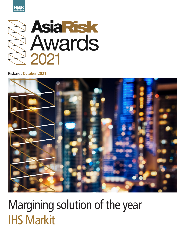



## **Risk.net October 2021**



## Margining solution of the year IHS Markit